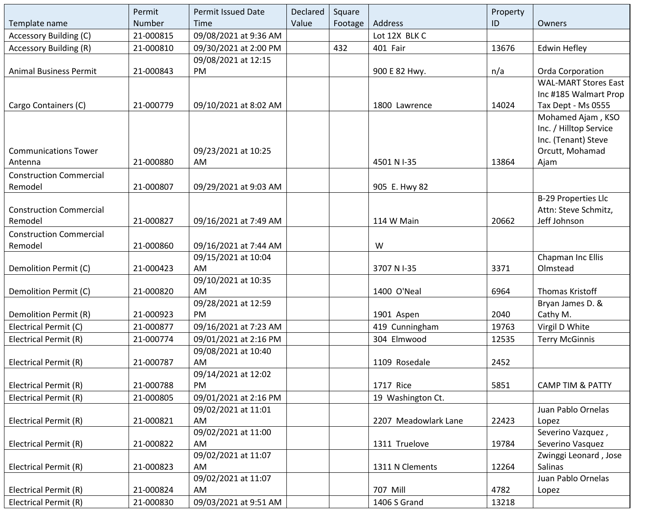|                                | Permit    | <b>Permit Issued Date</b> | Declared | Square  |                      | Property |                             |
|--------------------------------|-----------|---------------------------|----------|---------|----------------------|----------|-----------------------------|
| Template name                  | Number    | Time                      | Value    | Footage | Address              | ID       | Owners                      |
| <b>Accessory Building (C)</b>  | 21-000815 | 09/08/2021 at 9:36 AM     |          |         | Lot 12X BLK C        |          |                             |
| <b>Accessory Building (R)</b>  | 21-000810 | 09/30/2021 at 2:00 PM     |          | 432     | 401 Fair             | 13676    | <b>Edwin Hefley</b>         |
|                                |           | 09/08/2021 at 12:15       |          |         |                      |          |                             |
| <b>Animal Business Permit</b>  | 21-000843 | PM                        |          |         | 900 E 82 Hwy.        | n/a      | Orda Corporation            |
|                                |           |                           |          |         |                      |          | <b>WAL-MART Stores East</b> |
|                                |           |                           |          |         |                      |          | Inc #185 Walmart Prop       |
| Cargo Containers (C)           | 21-000779 | 09/10/2021 at 8:02 AM     |          |         | 1800 Lawrence        | 14024    | Tax Dept - Ms 0555          |
|                                |           |                           |          |         |                      |          | Mohamed Ajam, KSO           |
|                                |           |                           |          |         |                      |          | Inc. / Hilltop Service      |
|                                |           |                           |          |         |                      |          | Inc. (Tenant) Steve         |
| <b>Communications Tower</b>    |           | 09/23/2021 at 10:25       |          |         |                      |          | Orcutt, Mohamad             |
| Antenna                        | 21-000880 | AM                        |          |         | 4501 N I-35          | 13864    | Ajam                        |
| <b>Construction Commercial</b> |           |                           |          |         |                      |          |                             |
| Remodel                        | 21-000807 | 09/29/2021 at 9:03 AM     |          |         | 905 E. Hwy 82        |          |                             |
|                                |           |                           |          |         |                      |          | <b>B-29 Properties Llc</b>  |
| <b>Construction Commercial</b> |           |                           |          |         |                      |          | Attn: Steve Schmitz,        |
| Remodel                        | 21-000827 | 09/16/2021 at 7:49 AM     |          |         | 114 W Main           | 20662    | Jeff Johnson                |
| <b>Construction Commercial</b> |           |                           |          |         |                      |          |                             |
| Remodel                        | 21-000860 | 09/16/2021 at 7:44 AM     |          |         | W                    |          |                             |
|                                |           | 09/15/2021 at 10:04       |          |         |                      |          | Chapman Inc Ellis           |
| Demolition Permit (C)          | 21-000423 | AM                        |          |         | 3707 N I-35          | 3371     | Olmstead                    |
| Demolition Permit (C)          | 21-000820 | 09/10/2021 at 10:35<br>AM |          |         | 1400 O'Neal          | 6964     | Thomas Kristoff             |
|                                |           | 09/28/2021 at 12:59       |          |         |                      |          | Bryan James D. &            |
| Demolition Permit (R)          | 21-000923 | PM                        |          |         | 1901 Aspen           | 2040     | Cathy M.                    |
| Electrical Permit (C)          | 21-000877 | 09/16/2021 at 7:23 AM     |          |         | 419 Cunningham       | 19763    | Virgil D White              |
| Electrical Permit (R)          | 21-000774 | 09/01/2021 at 2:16 PM     |          |         | 304 Elmwood          | 12535    | <b>Terry McGinnis</b>       |
|                                |           | 09/08/2021 at 10:40       |          |         |                      |          |                             |
| Electrical Permit (R)          | 21-000787 | AM                        |          |         | 1109 Rosedale        | 2452     |                             |
|                                |           | 09/14/2021 at 12:02       |          |         |                      |          |                             |
| Electrical Permit (R)          | 21-000788 | PM                        |          |         | 1717 Rice            | 5851     | <b>CAMP TIM &amp; PATTY</b> |
| Electrical Permit (R)          | 21-000805 | 09/01/2021 at 2:16 PM     |          |         | 19 Washington Ct.    |          |                             |
|                                |           | 09/02/2021 at 11:01       |          |         |                      |          | Juan Pablo Ornelas          |
| Electrical Permit (R)          | 21-000821 | AM                        |          |         | 2207 Meadowlark Lane | 22423    | Lopez                       |
|                                |           | 09/02/2021 at 11:00       |          |         |                      |          | Severino Vazquez,           |
| Electrical Permit (R)          | 21-000822 | AM                        |          |         | 1311 Truelove        | 19784    | Severino Vasquez            |
|                                |           | 09/02/2021 at 11:07       |          |         |                      |          | Zwinggi Leonard, Jose       |
| Electrical Permit (R)          | 21-000823 | AM                        |          |         | 1311 N Clements      | 12264    | Salinas                     |
|                                |           | 09/02/2021 at 11:07       |          |         |                      |          | Juan Pablo Ornelas          |
| Electrical Permit (R)          | 21-000824 | AM                        |          |         | 707 Mill             | 4782     | Lopez                       |
| Electrical Permit (R)          | 21-000830 | 09/03/2021 at 9:51 AM     |          |         | 1406 S Grand         | 13218    |                             |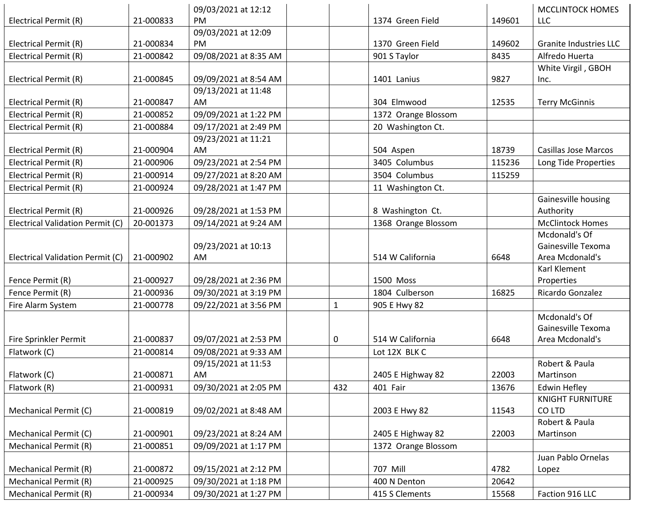|                                  |           | 09/03/2021 at 12:12   |              |                     |        | MCCLINTOCK HOMES              |
|----------------------------------|-----------|-----------------------|--------------|---------------------|--------|-------------------------------|
| Electrical Permit (R)            | 21-000833 | PM.                   |              | 1374 Green Field    | 149601 | <b>LLC</b>                    |
|                                  |           | 09/03/2021 at 12:09   |              |                     |        |                               |
| Electrical Permit (R)            | 21-000834 | <b>PM</b>             |              | 1370 Green Field    | 149602 | <b>Granite Industries LLC</b> |
| Electrical Permit (R)            | 21-000842 | 09/08/2021 at 8:35 AM |              | 901 S Taylor        | 8435   | Alfredo Huerta                |
|                                  |           |                       |              |                     |        | White Virgil, GBOH            |
| Electrical Permit (R)            | 21-000845 | 09/09/2021 at 8:54 AM |              | 1401 Lanius         | 9827   | Inc.                          |
|                                  |           | 09/13/2021 at 11:48   |              |                     |        |                               |
| Electrical Permit (R)            | 21-000847 | <b>AM</b>             |              | 304 Elmwood         | 12535  | <b>Terry McGinnis</b>         |
| Electrical Permit (R)            | 21-000852 | 09/09/2021 at 1:22 PM |              | 1372 Orange Blossom |        |                               |
| Electrical Permit (R)            | 21-000884 | 09/17/2021 at 2:49 PM |              | 20 Washington Ct.   |        |                               |
|                                  |           | 09/23/2021 at 11:21   |              |                     |        |                               |
| Electrical Permit (R)            | 21-000904 | AM                    |              | 504 Aspen           | 18739  | <b>Casillas Jose Marcos</b>   |
| Electrical Permit (R)            | 21-000906 | 09/23/2021 at 2:54 PM |              | 3405 Columbus       | 115236 | Long Tide Properties          |
| Electrical Permit (R)            | 21-000914 | 09/27/2021 at 8:20 AM |              | 3504 Columbus       | 115259 |                               |
| Electrical Permit (R)            | 21-000924 | 09/28/2021 at 1:47 PM |              | 11 Washington Ct.   |        |                               |
|                                  |           |                       |              |                     |        | Gainesville housing           |
| Electrical Permit (R)            | 21-000926 | 09/28/2021 at 1:53 PM |              | 8 Washington Ct.    |        | Authority                     |
| Electrical Validation Permit (C) | 20-001373 | 09/14/2021 at 9:24 AM |              | 1368 Orange Blossom |        | <b>McClintock Homes</b>       |
|                                  |           |                       |              |                     |        | Mcdonald's Of                 |
|                                  |           | 09/23/2021 at 10:13   |              |                     |        | Gainesville Texoma            |
| Electrical Validation Permit (C) | 21-000902 | AM                    |              | 514 W California    | 6648   | Area Mcdonald's               |
|                                  |           |                       |              |                     |        | Karl Klement                  |
| Fence Permit (R)                 | 21-000927 | 09/28/2021 at 2:36 PM |              | 1500 Moss           |        | Properties                    |
| Fence Permit (R)                 | 21-000936 | 09/30/2021 at 3:19 PM |              | 1804 Culberson      | 16825  | Ricardo Gonzalez              |
| Fire Alarm System                | 21-000778 | 09/22/2021 at 3:56 PM | $\mathbf{1}$ | 905 E Hwy 82        |        |                               |
|                                  |           |                       |              |                     |        | Mcdonald's Of                 |
|                                  |           |                       |              |                     |        | Gainesville Texoma            |
| Fire Sprinkler Permit            | 21-000837 | 09/07/2021 at 2:53 PM | 0            | 514 W California    | 6648   | Area Mcdonald's               |
| Flatwork (C)                     | 21-000814 | 09/08/2021 at 9:33 AM |              | Lot 12X BLK C       |        |                               |
|                                  |           | 09/15/2021 at 11:53   |              |                     |        | Robert & Paula                |
| Flatwork (C)                     | 21-000871 | AM                    |              | 2405 E Highway 82   | 22003  | Martinson                     |
| Flatwork (R)                     | 21-000931 | 09/30/2021 at 2:05 PM | 432          | 401 Fair            | 13676  | <b>Edwin Hefley</b>           |
|                                  |           |                       |              |                     |        | <b>KNIGHT FURNITURE</b>       |
| Mechanical Permit (C)            | 21-000819 | 09/02/2021 at 8:48 AM |              | 2003 E Hwy 82       | 11543  | CO LTD                        |
|                                  |           |                       |              |                     |        | Robert & Paula                |
| Mechanical Permit (C)            | 21-000901 | 09/23/2021 at 8:24 AM |              | 2405 E Highway 82   | 22003  | Martinson                     |
| <b>Mechanical Permit (R)</b>     | 21-000851 | 09/09/2021 at 1:17 PM |              | 1372 Orange Blossom |        |                               |
|                                  |           |                       |              |                     |        | Juan Pablo Ornelas            |
| <b>Mechanical Permit (R)</b>     | 21-000872 | 09/15/2021 at 2:12 PM |              | 707 Mill            | 4782   | Lopez                         |
| <b>Mechanical Permit (R)</b>     | 21-000925 | 09/30/2021 at 1:18 PM |              | 400 N Denton        | 20642  |                               |
| <b>Mechanical Permit (R)</b>     | 21-000934 | 09/30/2021 at 1:27 PM |              | 415 S Clements      | 15568  | Faction 916 LLC               |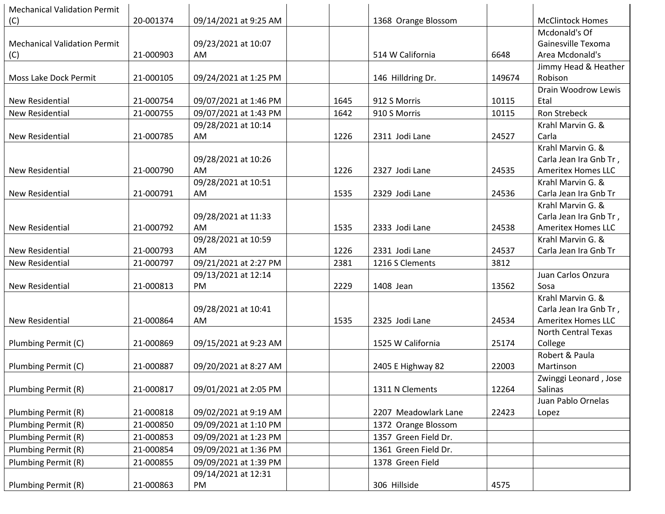| <b>Mechanical Validation Permit</b> |           |                       |      |                      |        |                            |
|-------------------------------------|-----------|-----------------------|------|----------------------|--------|----------------------------|
| (C)                                 | 20-001374 | 09/14/2021 at 9:25 AM |      | 1368 Orange Blossom  |        | <b>McClintock Homes</b>    |
|                                     |           |                       |      |                      |        | Mcdonald's Of              |
| <b>Mechanical Validation Permit</b> |           | 09/23/2021 at 10:07   |      |                      |        | Gainesville Texoma         |
| (C)                                 | 21-000903 | AM                    |      | 514 W California     | 6648   | Area Mcdonald's            |
|                                     |           |                       |      |                      |        | Jimmy Head & Heather       |
| Moss Lake Dock Permit               | 21-000105 | 09/24/2021 at 1:25 PM |      | 146 Hilldring Dr.    | 149674 | Robison                    |
|                                     |           |                       |      |                      |        | Drain Woodrow Lewis        |
| <b>New Residential</b>              | 21-000754 | 09/07/2021 at 1:46 PM | 1645 | 912 S Morris         | 10115  | Etal                       |
| <b>New Residential</b>              | 21-000755 | 09/07/2021 at 1:43 PM | 1642 | 910 S Morris         | 10115  | <b>Ron Strebeck</b>        |
|                                     |           | 09/28/2021 at 10:14   |      |                      |        | Krahl Marvin G. &          |
| <b>New Residential</b>              | 21-000785 | AM                    | 1226 | 2311 Jodi Lane       | 24527  | Carla                      |
|                                     |           |                       |      |                      |        | Krahl Marvin G. &          |
|                                     |           | 09/28/2021 at 10:26   |      |                      |        | Carla Jean Ira Gnb Tr,     |
| <b>New Residential</b>              | 21-000790 | AM                    | 1226 | 2327 Jodi Lane       | 24535  | <b>Ameritex Homes LLC</b>  |
|                                     |           | 09/28/2021 at 10:51   |      |                      |        | Krahl Marvin G. &          |
| New Residential                     | 21-000791 | AM                    | 1535 | 2329 Jodi Lane       | 24536  | Carla Jean Ira Gnb Tr      |
|                                     |           |                       |      |                      |        | Krahl Marvin G. &          |
|                                     |           | 09/28/2021 at 11:33   |      |                      |        | Carla Jean Ira Gnb Tr,     |
| New Residential                     | 21-000792 | AM                    | 1535 | 2333 Jodi Lane       | 24538  | <b>Ameritex Homes LLC</b>  |
|                                     |           | 09/28/2021 at 10:59   |      |                      |        | Krahl Marvin G. &          |
| <b>New Residential</b>              | 21-000793 | AM                    | 1226 | 2331 Jodi Lane       | 24537  | Carla Jean Ira Gnb Tr      |
| New Residential                     | 21-000797 | 09/21/2021 at 2:27 PM | 2381 | 1216 S Clements      | 3812   |                            |
|                                     |           | 09/13/2021 at 12:14   |      |                      |        | Juan Carlos Onzura         |
| New Residential                     | 21-000813 | PM                    | 2229 | 1408 Jean            | 13562  | Sosa                       |
|                                     |           |                       |      |                      |        | Krahl Marvin G. &          |
|                                     |           | 09/28/2021 at 10:41   |      |                      |        | Carla Jean Ira Gnb Tr,     |
| <b>New Residential</b>              | 21-000864 | AM                    | 1535 | 2325 Jodi Lane       | 24534  | <b>Ameritex Homes LLC</b>  |
|                                     |           |                       |      |                      |        | <b>North Central Texas</b> |
| Plumbing Permit (C)                 | 21-000869 | 09/15/2021 at 9:23 AM |      | 1525 W California    | 25174  | College                    |
|                                     |           |                       |      |                      |        | Robert & Paula             |
| Plumbing Permit (C)                 | 21-000887 | 09/20/2021 at 8:27 AM |      | 2405 E Highway 82    | 22003  | Martinson                  |
|                                     |           |                       |      |                      |        | Zwinggi Leonard, Jose      |
| Plumbing Permit (R)                 | 21-000817 | 09/01/2021 at 2:05 PM |      | 1311 N Clements      | 12264  | Salinas                    |
|                                     |           |                       |      |                      |        | Juan Pablo Ornelas         |
| Plumbing Permit (R)                 | 21-000818 | 09/02/2021 at 9:19 AM |      | 2207 Meadowlark Lane | 22423  | Lopez                      |
| Plumbing Permit (R)                 | 21-000850 | 09/09/2021 at 1:10 PM |      | 1372 Orange Blossom  |        |                            |
| Plumbing Permit (R)                 | 21-000853 | 09/09/2021 at 1:23 PM |      | 1357 Green Field Dr. |        |                            |
| Plumbing Permit (R)                 | 21-000854 | 09/09/2021 at 1:36 PM |      | 1361 Green Field Dr. |        |                            |
| Plumbing Permit (R)                 | 21-000855 | 09/09/2021 at 1:39 PM |      | 1378 Green Field     |        |                            |
|                                     |           | 09/14/2021 at 12:31   |      |                      |        |                            |
| Plumbing Permit (R)                 | 21-000863 | PM                    |      | 306 Hillside         | 4575   |                            |
|                                     |           |                       |      |                      |        |                            |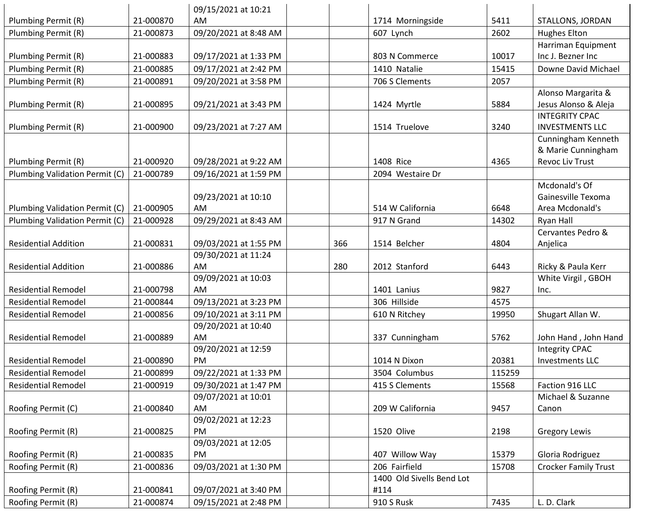|                                |           | 09/15/2021 at 10:21       |     |                           |        |                                     |
|--------------------------------|-----------|---------------------------|-----|---------------------------|--------|-------------------------------------|
| Plumbing Permit (R)            | 21-000870 | AM                        |     | 1714 Morningside          | 5411   | STALLONS, JORDAN                    |
| Plumbing Permit (R)            | 21-000873 | 09/20/2021 at 8:48 AM     |     | 607 Lynch                 | 2602   | <b>Hughes Elton</b>                 |
|                                |           |                           |     |                           |        | Harriman Equipment                  |
| Plumbing Permit (R)            | 21-000883 | 09/17/2021 at 1:33 PM     |     | 803 N Commerce            | 10017  | Inc J. Bezner Inc                   |
| Plumbing Permit (R)            | 21-000885 | 09/17/2021 at 2:42 PM     |     | 1410 Natalie              | 15415  | Downe David Michael                 |
| Plumbing Permit (R)            | 21-000891 | 09/20/2021 at 3:58 PM     |     | 706 S Clements            | 2057   |                                     |
|                                |           |                           |     |                           |        | Alonso Margarita &                  |
| Plumbing Permit (R)            | 21-000895 | 09/21/2021 at 3:43 PM     |     | 1424 Myrtle               | 5884   | Jesus Alonso & Aleja                |
|                                |           |                           |     |                           |        | <b>INTEGRITY CPAC</b>               |
| Plumbing Permit (R)            | 21-000900 | 09/23/2021 at 7:27 AM     |     | 1514 Truelove             | 3240   | <b>INVESTMENTS LLC</b>              |
|                                |           |                           |     |                           |        | Cunningham Kenneth                  |
|                                |           |                           |     |                           |        | & Marie Cunningham                  |
| Plumbing Permit (R)            | 21-000920 | 09/28/2021 at 9:22 AM     |     | 1408 Rice                 | 4365   | Revoc Liv Trust                     |
| Plumbing Validation Permit (C) | 21-000789 | 09/16/2021 at 1:59 PM     |     | 2094 Westaire Dr          |        |                                     |
|                                |           |                           |     |                           |        | Mcdonald's Of<br>Gainesville Texoma |
|                                | 21-000905 | 09/23/2021 at 10:10<br>AM |     | 514 W California          | 6648   | Area Mcdonald's                     |
| Plumbing Validation Permit (C) | 21-000928 |                           |     |                           |        |                                     |
| Plumbing Validation Permit (C) |           | 09/29/2021 at 8:43 AM     |     | 917 N Grand               | 14302  | Ryan Hall<br>Cervantes Pedro &      |
| <b>Residential Addition</b>    | 21-000831 | 09/03/2021 at 1:55 PM     | 366 | 1514 Belcher              | 4804   | Anjelica                            |
|                                |           | 09/30/2021 at 11:24       |     |                           |        |                                     |
| <b>Residential Addition</b>    | 21-000886 | AM                        | 280 | 2012 Stanford             | 6443   | Ricky & Paula Kerr                  |
|                                |           | 09/09/2021 at 10:03       |     |                           |        | White Virgil, GBOH                  |
| <b>Residential Remodel</b>     | 21-000798 | AM                        |     | 1401 Lanius               | 9827   | Inc.                                |
| <b>Residential Remodel</b>     | 21-000844 | 09/13/2021 at 3:23 PM     |     | 306 Hillside              | 4575   |                                     |
| <b>Residential Remodel</b>     | 21-000856 | 09/10/2021 at 3:11 PM     |     | 610 N Ritchey             | 19950  | Shugart Allan W.                    |
|                                |           | 09/20/2021 at 10:40       |     |                           |        |                                     |
| <b>Residential Remodel</b>     | 21-000889 | AM                        |     | 337 Cunningham            | 5762   | John Hand, John Hand                |
|                                |           | 09/20/2021 at 12:59       |     |                           |        | <b>Integrity CPAC</b>               |
| <b>Residential Remodel</b>     | 21-000890 | <b>PM</b>                 |     | 1014 N Dixon              | 20381  | <b>Investments LLC</b>              |
| <b>Residential Remodel</b>     | 21-000899 | 09/22/2021 at 1:33 PM     |     | 3504 Columbus             | 115259 |                                     |
| <b>Residential Remodel</b>     | 21-000919 | 09/30/2021 at 1:47 PM     |     | 415 S Clements            | 15568  | Faction 916 LLC                     |
|                                |           | 09/07/2021 at 10:01       |     |                           |        | Michael & Suzanne                   |
| Roofing Permit (C)             | 21-000840 | AM                        |     | 209 W California          | 9457   | Canon                               |
|                                |           | 09/02/2021 at 12:23       |     |                           |        |                                     |
| Roofing Permit (R)             | 21-000825 | PM                        |     | 1520 Olive                | 2198   | <b>Gregory Lewis</b>                |
|                                |           | 09/03/2021 at 12:05       |     |                           |        |                                     |
| Roofing Permit (R)             | 21-000835 | PM                        |     | 407 Willow Way            | 15379  | Gloria Rodriguez                    |
| Roofing Permit (R)             | 21-000836 | 09/03/2021 at 1:30 PM     |     | 206 Fairfield             | 15708  | <b>Crocker Family Trust</b>         |
|                                |           |                           |     | 1400 Old Sivells Bend Lot |        |                                     |
| Roofing Permit (R)             | 21-000841 | 09/07/2021 at 3:40 PM     |     | #114                      |        |                                     |
| Roofing Permit (R)             | 21-000874 | 09/15/2021 at 2:48 PM     |     | 910 S Rusk                | 7435   | L. D. Clark                         |